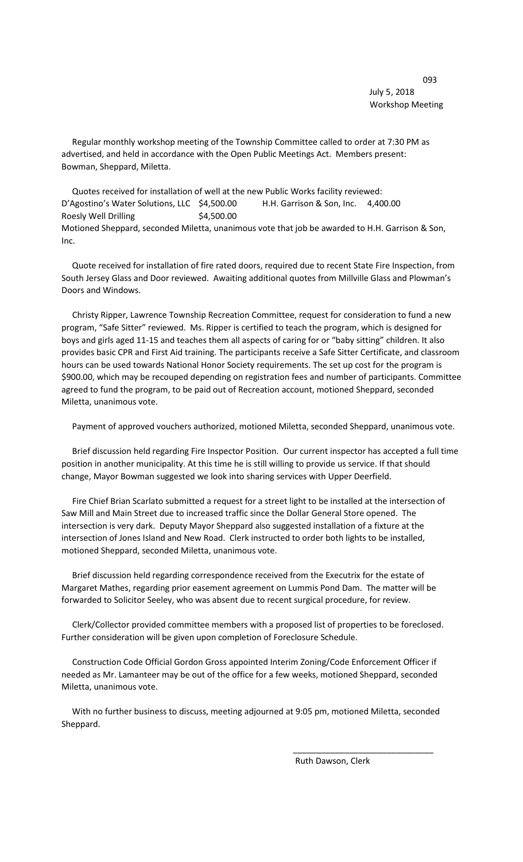<u>093 - Johann Stein, amerikan bahasa (j. 1882)</u><br>1930 - Johann Stein, amerikan bahasa (j. 1882)<br>1930 - Johann Stein, amerikan bahasa (j. 1882) July 5, 2018 Workshop Meeting

 Regular monthly workshop meeting of the Township Committee called to order at 7:30 PM as advertised, and held in accordance with the Open Public Meetings Act. Members present: Bowman, Sheppard, Miletta.

 Quotes received for installation of well at the new Public Works facility reviewed: D'Agostino's Water Solutions, LLC \$4,500.00 H.H. Garrison & Son, Inc. 4,400.00 Roesly Well Drilling \$4,500.00 Motioned Sheppard, seconded Miletta, unanimous vote that job be awarded to H.H. Garrison & Son, Inc.

 Quote received for installation of fire rated doors, required due to recent State Fire Inspection, from South Jersey Glass and Door reviewed. Awaiting additional quotes from Millville Glass and Plowman's Doors and Windows.

 Christy Ripper, Lawrence Township Recreation Committee, request for consideration to fund a new program, "Safe Sitter" reviewed. Ms. Ripper is certified to teach the program, which is designed for boys and girls aged 11-15 and teaches them all aspects of caring for or "baby sitting" children. It also provides basic CPR and First Aid training. The participants receive a Safe Sitter Certificate, and classroom hours can be used towards National Honor Society requirements. The set up cost for the program is \$900.00, which may be recouped depending on registration fees and number of participants. Committee agreed to fund the program, to be paid out of Recreation account, motioned Sheppard, seconded Miletta, unanimous vote.

Payment of approved vouchers authorized, motioned Miletta, seconded Sheppard, unanimous vote.

 Brief discussion held regarding Fire Inspector Position. Our current inspector has accepted a full time position in another municipality. At this time he is still willing to provide us service. If that should change, Mayor Bowman suggested we look into sharing services with Upper Deerfield.

 Fire Chief Brian Scarlato submitted a request for a street light to be installed at the intersection of Saw Mill and Main Street due to increased traffic since the Dollar General Store opened. The intersection is very dark. Deputy Mayor Sheppard also suggested installation of a fixture at the intersection of Jones Island and New Road. Clerk instructed to order both lights to be installed, motioned Sheppard, seconded Miletta, unanimous vote.

 Brief discussion held regarding correspondence received from the Executrix for the estate of Margaret Mathes, regarding prior easement agreement on Lummis Pond Dam. The matter will be forwarded to Solicitor Seeley, who was absent due to recent surgical procedure, for review.

 Clerk/Collector provided committee members with a proposed list of properties to be foreclosed. Further consideration will be given upon completion of Foreclosure Schedule.

 Construction Code Official Gordon Gross appointed Interim Zoning/Code Enforcement Officer if needed as Mr. Lamanteer may be out of the office for a few weeks, motioned Sheppard, seconded Miletta, unanimous vote.

 With no further business to discuss, meeting adjourned at 9:05 pm, motioned Miletta, seconded Sheppard.

 $\overline{\phantom{a}}$  , and the contract of the contract of the contract of the contract of the contract of the contract of the contract of the contract of the contract of the contract of the contract of the contract of the contrac

Ruth Dawson, Clerk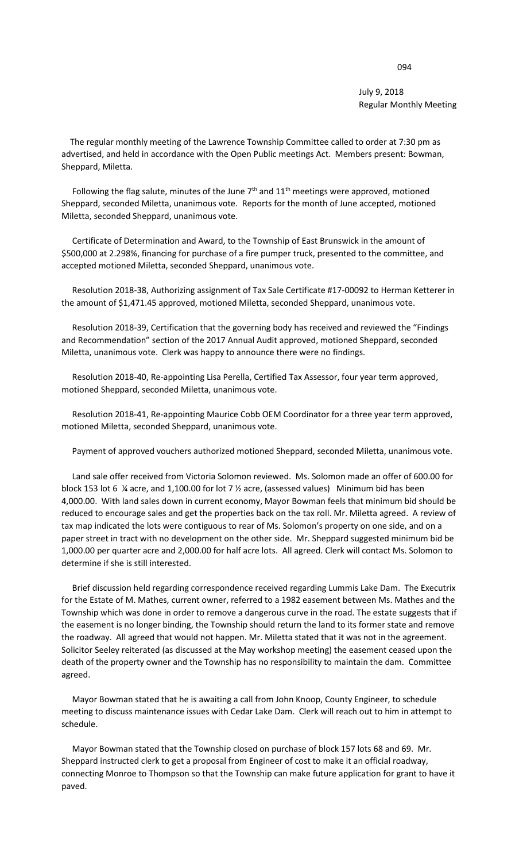## July 9, 2018 Regular Monthly Meeting

 The regular monthly meeting of the Lawrence Township Committee called to order at 7:30 pm as advertised, and held in accordance with the Open Public meetings Act. Members present: Bowman, Sheppard, Miletta.

Following the flag salute, minutes of the June  $7<sup>th</sup>$  and  $11<sup>th</sup>$  meetings were approved, motioned Sheppard, seconded Miletta, unanimous vote. Reports for the month of June accepted, motioned Miletta, seconded Sheppard, unanimous vote.

 Certificate of Determination and Award, to the Township of East Brunswick in the amount of \$500,000 at 2.298%, financing for purchase of a fire pumper truck, presented to the committee, and accepted motioned Miletta, seconded Sheppard, unanimous vote.

 Resolution 2018-38, Authorizing assignment of Tax Sale Certificate #17-00092 to Herman Ketterer in the amount of \$1,471.45 approved, motioned Miletta, seconded Sheppard, unanimous vote.

 Resolution 2018-39, Certification that the governing body has received and reviewed the "Findings and Recommendation" section of the 2017 Annual Audit approved, motioned Sheppard, seconded Miletta, unanimous vote. Clerk was happy to announce there were no findings.

 Resolution 2018-40, Re-appointing Lisa Perella, Certified Tax Assessor, four year term approved, motioned Sheppard, seconded Miletta, unanimous vote.

 Resolution 2018-41, Re-appointing Maurice Cobb OEM Coordinator for a three year term approved, motioned Miletta, seconded Sheppard, unanimous vote.

Payment of approved vouchers authorized motioned Sheppard, seconded Miletta, unanimous vote.

 Land sale offer received from Victoria Solomon reviewed. Ms. Solomon made an offer of 600.00 for block 153 lot 6 ¼ acre, and 1,100.00 for lot 7 ½ acre, (assessed values) Minimum bid has been 4,000.00. With land sales down in current economy, Mayor Bowman feels that minimum bid should be reduced to encourage sales and get the properties back on the tax roll. Mr. Miletta agreed. A review of tax map indicated the lots were contiguous to rear of Ms. Solomon's property on one side, and on a paper street in tract with no development on the other side. Mr. Sheppard suggested minimum bid be 1,000.00 per quarter acre and 2,000.00 for half acre lots. All agreed. Clerk will contact Ms. Solomon to determine if she is still interested.

 Brief discussion held regarding correspondence received regarding Lummis Lake Dam. The Executrix for the Estate of M. Mathes, current owner, referred to a 1982 easement between Ms. Mathes and the Township which was done in order to remove a dangerous curve in the road. The estate suggests that if the easement is no longer binding, the Township should return the land to its former state and remove the roadway. All agreed that would not happen. Mr. Miletta stated that it was not in the agreement. Solicitor Seeley reiterated (as discussed at the May workshop meeting) the easement ceased upon the death of the property owner and the Township has no responsibility to maintain the dam. Committee agreed.

 Mayor Bowman stated that he is awaiting a call from John Knoop, County Engineer, to schedule meeting to discuss maintenance issues with Cedar Lake Dam. Clerk will reach out to him in attempt to schedule.

 Mayor Bowman stated that the Township closed on purchase of block 157 lots 68 and 69. Mr. Sheppard instructed clerk to get a proposal from Engineer of cost to make it an official roadway, connecting Monroe to Thompson so that the Township can make future application for grant to have it paved.

## de de la construcción de la construcción de la construcción de la construcción de la construcción de la constr<br>1944 — Estado de la construcción de la construcción de la construcción de la construcción de la construcción